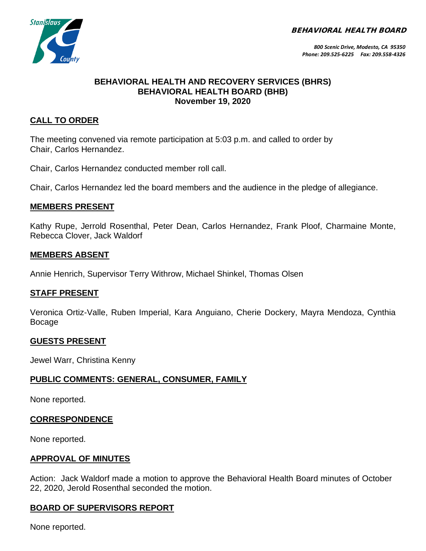BEHAVIORAL HEALTH BOARD



*800 Scenic Drive, Modesto, CA 95350 Phone: 209.525-6225 Fax: 209.558-4326*

#### **BEHAVIORAL HEALTH AND RECOVERY SERVICES (BHRS) BEHAVIORAL HEALTH BOARD (BHB) November 19, 2020**

## **CALL TO ORDER**

The meeting convened via remote participation at 5:03 p.m. and called to order by Chair, Carlos Hernandez.

Chair, Carlos Hernandez conducted member roll call.

Chair, Carlos Hernandez led the board members and the audience in the pledge of allegiance.

### **MEMBERS PRESENT**

Kathy Rupe, Jerrold Rosenthal, Peter Dean, Carlos Hernandez, Frank Ploof, Charmaine Monte, Rebecca Clover, Jack Waldorf

#### **MEMBERS ABSENT**

Annie Henrich, Supervisor Terry Withrow, Michael Shinkel, Thomas Olsen

#### **STAFF PRESENT**

Veronica Ortiz-Valle, Ruben Imperial, Kara Anguiano, Cherie Dockery, Mayra Mendoza, Cynthia Bocage

#### **GUESTS PRESENT**

Jewel Warr, Christina Kenny

#### **PUBLIC COMMENTS: GENERAL, CONSUMER, FAMILY**

None reported.

#### **CORRESPONDENCE**

None reported.

#### **APPROVAL OF MINUTES**

Action: Jack Waldorf made a motion to approve the Behavioral Health Board minutes of October 22, 2020, Jerold Rosenthal seconded the motion.

# **BOARD OF SUPERVISORS REPORT**

None reported.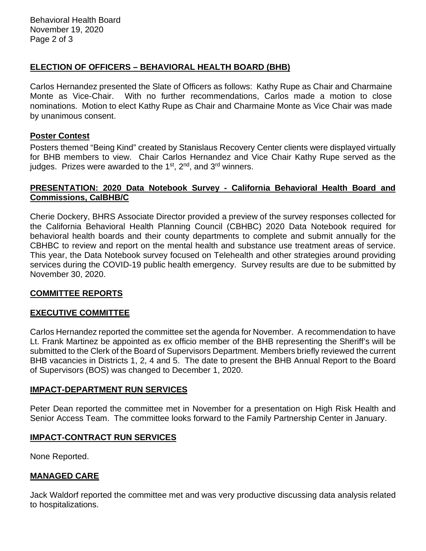## **ELECTION OF OFFICERS – BEHAVIORAL HEALTH BOARD (BHB)**

Carlos Hernandez presented the Slate of Officers as follows: Kathy Rupe as Chair and Charmaine Monte as Vice-Chair. With no further recommendations, Carlos made a motion to close nominations. Motion to elect Kathy Rupe as Chair and Charmaine Monte as Vice Chair was made by unanimous consent.

#### **Poster Contest**

Posters themed "Being Kind" created by Stanislaus Recovery Center clients were displayed virtually for BHB members to view. Chair Carlos Hernandez and Vice Chair Kathy Rupe served as the judges. Prizes were awarded to the  $1<sup>st</sup>$ ,  $2<sup>nd</sup>$ , and  $3<sup>rd</sup>$  winners.

#### **PRESENTATION: 2020 Data Notebook Survey - California Behavioral Health Board and Commissions, CalBHB/C**

Cherie Dockery, BHRS Associate Director provided a preview of the survey responses collected for the California Behavioral Health Planning Council (CBHBC) 2020 Data Notebook required for behavioral health boards and their county departments to complete and submit annually for the CBHBC to review and report on the mental health and substance use treatment areas of service. This year, the Data Notebook survey focused on Telehealth and other strategies around providing services during the COVID-19 public health emergency. Survey results are due to be submitted by November 30, 2020.

#### **COMMITTEE REPORTS**

## **EXECUTIVE COMMITTEE**

Carlos Hernandez reported the committee set the agenda for November. A recommendation to have Lt. Frank Martinez be appointed as ex officio member of the BHB representing the Sheriff's will be submitted to the Clerk of the Board of Supervisors Department. Members briefly reviewed the current BHB vacancies in Districts 1, 2, 4 and 5. The date to present the BHB Annual Report to the Board of Supervisors (BOS) was changed to December 1, 2020.

#### **IMPACT-DEPARTMENT RUN SERVICES**

Peter Dean reported the committee met in November for a presentation on High Risk Health and Senior Access Team. The committee looks forward to the Family Partnership Center in January.

#### **IMPACT-CONTRACT RUN SERVICES**

None Reported.

#### **MANAGED CARE**

Jack Waldorf reported the committee met and was very productive discussing data analysis related to hospitalizations.